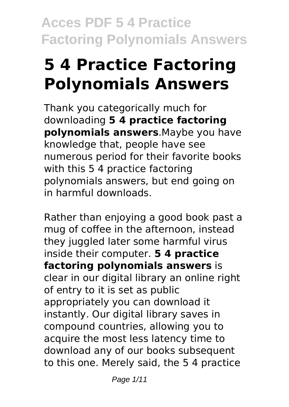# **5 4 Practice Factoring Polynomials Answers**

Thank you categorically much for downloading **5 4 practice factoring polynomials answers**.Maybe you have knowledge that, people have see numerous period for their favorite books with this 5 4 practice factoring polynomials answers, but end going on in harmful downloads.

Rather than enjoying a good book past a mug of coffee in the afternoon, instead they juggled later some harmful virus inside their computer. **5 4 practice factoring polynomials answers** is clear in our digital library an online right of entry to it is set as public appropriately you can download it instantly. Our digital library saves in compound countries, allowing you to acquire the most less latency time to download any of our books subsequent to this one. Merely said, the 5 4 practice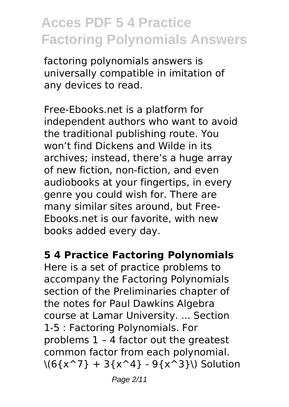factoring polynomials answers is universally compatible in imitation of any devices to read.

Free-Ebooks.net is a platform for independent authors who want to avoid the traditional publishing route. You won't find Dickens and Wilde in its archives; instead, there's a huge array of new fiction, non-fiction, and even audiobooks at your fingertips, in every genre you could wish for. There are many similar sites around, but Free-Ebooks.net is our favorite, with new books added every day.

#### **5 4 Practice Factoring Polynomials**

Here is a set of practice problems to accompany the Factoring Polynomials section of the Preliminaries chapter of the notes for Paul Dawkins Algebra course at Lamar University. ... Section 1-5 : Factoring Polynomials. For problems 1 – 4 factor out the greatest common factor from each polynomial.  $\{(6\{x^2\} + 3\{x^4\} - 9\{x^3\})\}$  Solution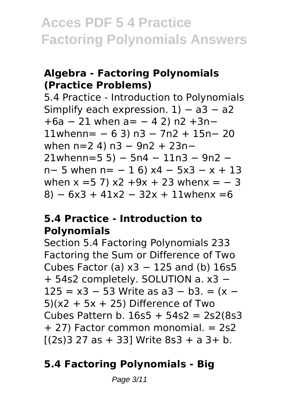### **Algebra - Factoring Polynomials (Practice Problems)**

5.4 Practice - Introduction to Polynomials Simplify each expression.  $1) - a3 - a2$ +6a − 21 when a= − 4 2) n2 +3n− 11whenn= − 6 3) n3 − 7n2 + 15n− 20 when n=2 4) n3 − 9n2 + 23n− 21whenn=5 5) − 5n4 − 11n3 − 9n2 − n− 5 when n= − 1 6) x4 − 5x3 − x + 13 when  $x = 5$  7)  $x^2 + 9x + 23$  when  $x = -3$  $8) - 6x3 + 41x2 - 32x + 11$  when  $x = 6$ 

#### **5.4 Practice - Introduction to Polynomials**

Section 5.4 Factoring Polynomials 233 Factoring the Sum or Difference of Two Cubes Factor (a)  $x3 - 125$  and (b) 16s5 + 54s2 completely. SOLUTION a. x3 − 125 = x3 − 53 Write as a3 − b3. = (x −  $5(x^2 + 5x + 25)$  Difference of Two Cubes Pattern b. 16s5 + 54s2 = 2s2(8s3 + 27) Factor common monomial. = 2s2  $[(2s)3 27 as + 33]$  Write 8s3 + a 3+ b.

### **5.4 Factoring Polynomials - Big**

Page 3/11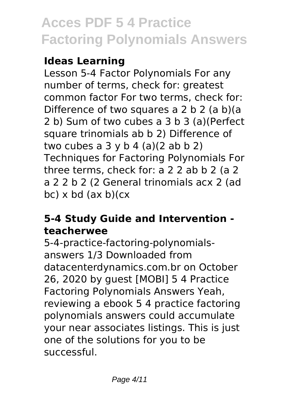### **Ideas Learning**

Lesson 5-4 Factor Polynomials For any number of terms, check for: greatest common factor For two terms, check for: Difference of two squares a 2 b 2 (a b)(a 2 b) Sum of two cubes a 3 b 3 (a)(Perfect square trinomials ab b 2) Difference of two cubes a  $3 \vee b$  4 (a)(2 ab b 2) Techniques for Factoring Polynomials For three terms, check for: a 2 2 ab b 2 (a 2 a 2 2 b 2 (2 General trinomials acx 2 (ad  $bc)$  x bd  $(ax b)(cx)$ 

### **5-4 Study Guide and Intervention teacherwee**

5-4-practice-factoring-polynomialsanswers 1/3 Downloaded from datacenterdynamics.com.br on October 26, 2020 by guest [MOBI] 5 4 Practice Factoring Polynomials Answers Yeah, reviewing a ebook 5 4 practice factoring polynomials answers could accumulate your near associates listings. This is just one of the solutions for you to be successful.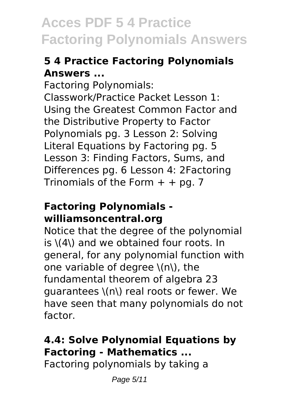### **5 4 Practice Factoring Polynomials Answers ...**

Factoring Polynomials: Classwork/Practice Packet Lesson 1: Using the Greatest Common Factor and the Distributive Property to Factor Polynomials pg. 3 Lesson 2: Solving Literal Equations by Factoring pg. 5 Lesson 3: Finding Factors, Sums, and Differences pg. 6 Lesson 4: 2Factoring Trinomials of the Form  $+$  + pg. 7

#### **Factoring Polynomials williamsoncentral.org**

Notice that the degree of the polynomial is \(4\) and we obtained four roots. In general, for any polynomial function with one variable of degree \(n\), the fundamental theorem of algebra 23 guarantees \(n\) real roots or fewer. We have seen that many polynomials do not factor.

## **4.4: Solve Polynomial Equations by Factoring - Mathematics ...**

Factoring polynomials by taking a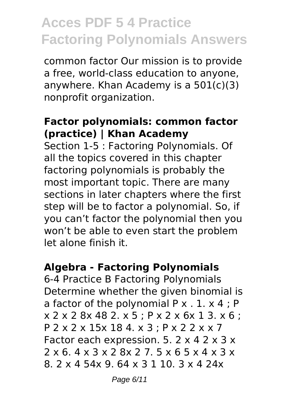common factor Our mission is to provide a free, world-class education to anyone, anywhere. Khan Academy is a 501(c)(3) nonprofit organization.

#### **Factor polynomials: common factor (practice) | Khan Academy**

Section 1-5 : Factoring Polynomials. Of all the topics covered in this chapter factoring polynomials is probably the most important topic. There are many sections in later chapters where the first step will be to factor a polynomial. So, if you can't factor the polynomial then you won't be able to even start the problem let alone finish it.

### **Algebra - Factoring Polynomials**

6-4 Practice B Factoring Polynomials Determine whether the given binomial is a factor of the polynomial  $P \times 1$ .  $X \times 4$ ; P x 2 x 2 8x 48 2. x 5 ; P x 2 x 6x 1 3. x 6 ; P 2 x 2 x 15x 18 4. x 3 ; P x 2 2 x x 7 Factor each expression. 5.  $2 \times 4$  2  $\times$  3  $\times$ 2 x 6. 4 x 3 x 2 8x 2 7. 5 x 6 5 x 4 x 3 x 8. 2 x 4 54x 9. 64 x 3 1 10. 3 x 4 24x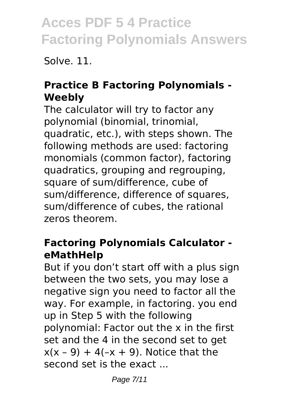Solve. 11.

### **Practice B Factoring Polynomials - Weebly**

The calculator will try to factor any polynomial (binomial, trinomial, quadratic, etc.), with steps shown. The following methods are used: factoring monomials (common factor), factoring quadratics, grouping and regrouping, square of sum/difference, cube of sum/difference, difference of squares, sum/difference of cubes, the rational zeros theorem.

### **Factoring Polynomials Calculator eMathHelp**

But if you don't start off with a plus sign between the two sets, you may lose a negative sign you need to factor all the way. For example, in factoring. you end up in Step 5 with the following polynomial: Factor out the x in the first set and the 4 in the second set to get  $x(x - 9) + 4(-x + 9)$ . Notice that the second set is the exact ...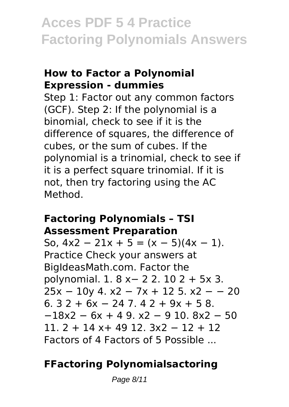#### **How to Factor a Polynomial Expression - dummies**

Step 1: Factor out any common factors (GCF). Step 2: If the polynomial is a binomial, check to see if it is the difference of squares, the difference of cubes, or the sum of cubes. If the polynomial is a trinomial, check to see if it is a perfect square trinomial. If it is not, then try factoring using the AC Method.

#### **Factoring Polynomials – TSI Assessment Preparation**

So,  $4x^2 - 21x + 5 = (x - 5)(4x - 1)$ . Practice Check your answers at BigIdeasMath.com. Factor the polynomial. 1. 8 x− 2 2. 10 2 + 5x 3. 25x − 10y 4. x2 − 7x + 12 5. x2 − − 20  $6.32 + 6x - 247.42 + 9x + 58.$  $-18x^2 - 6x + 49$ .  $x^2 - 910$ .  $8x^2 - 50$ 11. 2 + 14 x+ 49 12. 3x2 − 12 + 12 Factors of 4 Factors of 5 Possible ...

### **FFactoring Polynomialsactoring**

Page 8/11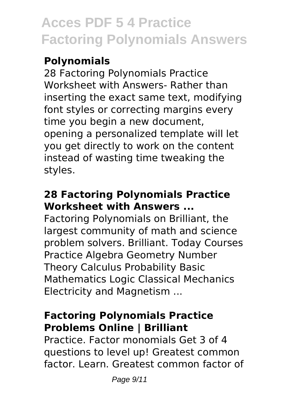### **Polynomials**

28 Factoring Polynomials Practice Worksheet with Answers- Rather than inserting the exact same text, modifying font styles or correcting margins every time you begin a new document, opening a personalized template will let you get directly to work on the content instead of wasting time tweaking the styles.

### **28 Factoring Polynomials Practice Worksheet with Answers ...**

Factoring Polynomials on Brilliant, the largest community of math and science problem solvers. Brilliant. Today Courses Practice Algebra Geometry Number Theory Calculus Probability Basic Mathematics Logic Classical Mechanics Electricity and Magnetism ...

### **Factoring Polynomials Practice Problems Online | Brilliant**

Practice. Factor monomials Get 3 of 4 questions to level up! Greatest common factor. Learn. Greatest common factor of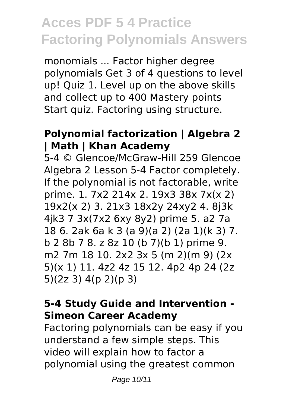monomials ... Factor higher degree polynomials Get 3 of 4 questions to level up! Quiz 1. Level up on the above skills and collect up to 400 Mastery points Start quiz. Factoring using structure.

#### **Polynomial factorization | Algebra 2 | Math | Khan Academy**

5-4 © Glencoe/McGraw-Hill 259 Glencoe Algebra 2 Lesson 5-4 Factor completely. If the polynomial is not factorable, write prime. 1. 7x2 214x 2. 19x3 38x 7x(x 2) 19x2(x 2) 3. 21x3 18x2y 24xy2 4. 8j3k 4jk3 7 3x(7x2 6xy 8y2) prime 5. a2 7a 18 6. 2ak 6a k 3 (a 9)(a 2) (2a 1)(k 3) 7. b 2 8b 7 8. z 8z 10 (b 7)(b 1) prime 9. m2 7m 18 10. 2x2 3x 5 (m 2)(m 9) (2x 5)(x 1) 11. 4z2 4z 15 12. 4p2 4p 24 (2z 5)(2z 3) 4(p 2)(p 3)

### **5-4 Study Guide and Intervention - Simeon Career Academy**

Factoring polynomials can be easy if you understand a few simple steps. This video will explain how to factor a polynomial using the greatest common